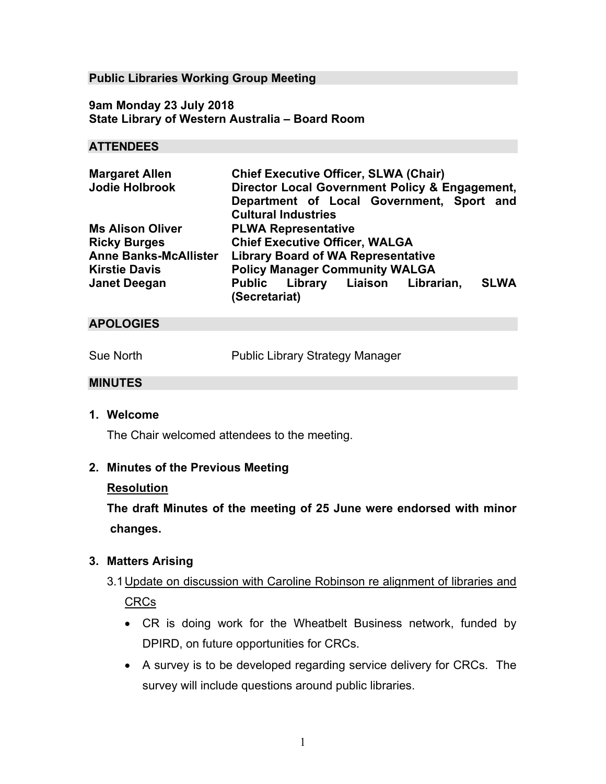#### **Public Libraries Working Group Meeting**

**9am Monday 23 July 2018 State Library of Western Australia – Board Room** 

#### **ATTENDEES**

| <b>Margaret Allen</b>        | <b>Chief Executive Officer, SLWA (Chair)</b>     |
|------------------------------|--------------------------------------------------|
| <b>Jodie Holbrook</b>        | Director Local Government Policy & Engagement,   |
|                              | Department of Local Government, Sport and        |
|                              | <b>Cultural Industries</b>                       |
| <b>Ms Alison Oliver</b>      | <b>PLWA Representative</b>                       |
| <b>Ricky Burges</b>          | <b>Chief Executive Officer, WALGA</b>            |
| <b>Anne Banks-McAllister</b> | <b>Library Board of WA Representative</b>        |
| <b>Kirstie Davis</b>         | <b>Policy Manager Community WALGA</b>            |
| <b>Janet Deegan</b>          | <b>SLWA</b><br>Public Library Liaison Librarian, |
|                              | (Secretariat)                                    |

### **APOLOGIES**

Sue North Public Library Strategy Manager

#### **MINUTES**

**1. Welcome** 

The Chair welcomed attendees to the meeting.

#### **2. Minutes of the Previous Meeting**

#### **Resolution**

**The draft Minutes of the meeting of 25 June were endorsed with minor changes.** 

#### **3. Matters Arising**

- 3.1 Update on discussion with Caroline Robinson re alignment of libraries and CRCs
	- CR is doing work for the Wheatbelt Business network, funded by DPIRD, on future opportunities for CRCs.
	- A survey is to be developed regarding service delivery for CRCs. The survey will include questions around public libraries.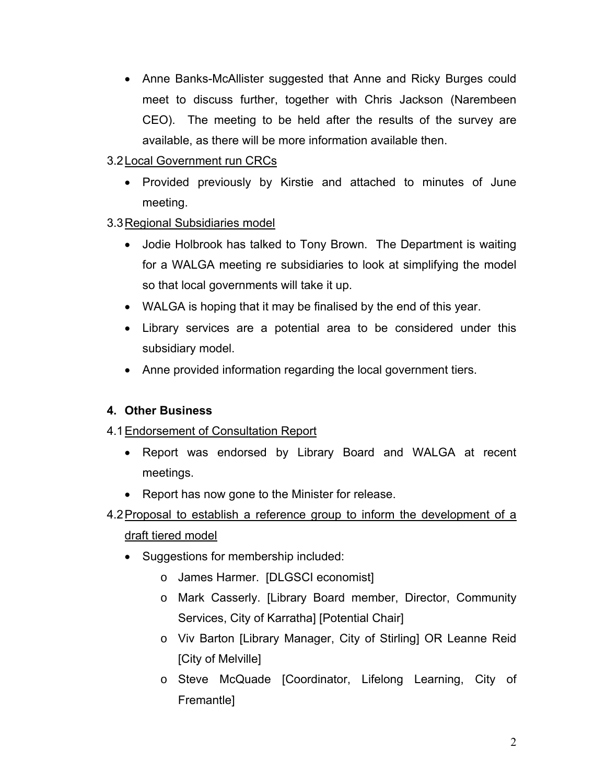- Anne Banks-McAllister suggested that Anne and Ricky Burges could meet to discuss further, together with Chris Jackson (Narembeen CEO). The meeting to be held after the results of the survey are available, as there will be more information available then.
- 3.2 Local Government run CRCs
	- Provided previously by Kirstie and attached to minutes of June meeting.
- 3.3 Regional Subsidiaries model
	- Jodie Holbrook has talked to Tony Brown. The Department is waiting for a WALGA meeting re subsidiaries to look at simplifying the model so that local governments will take it up.
	- WALGA is hoping that it may be finalised by the end of this year.
	- Library services are a potential area to be considered under this subsidiary model.
	- Anne provided information regarding the local government tiers.

### **4. Other Business**

### 4.1 Endorsement of Consultation Report

- Report was endorsed by Library Board and WALGA at recent meetings.
- Report has now gone to the Minister for release.
- 4.2 Proposal to establish a reference group to inform the development of a draft tiered model
	- Suggestions for membership included:
		- o James Harmer. [DLGSCI economist]
		- o Mark Casserly. [Library Board member, Director, Community Services, City of Karratha] [Potential Chair]
		- o Viv Barton [Library Manager, City of Stirling] OR Leanne Reid [City of Melville]
		- o Steve McQuade [Coordinator, Lifelong Learning, City of Fremantle]